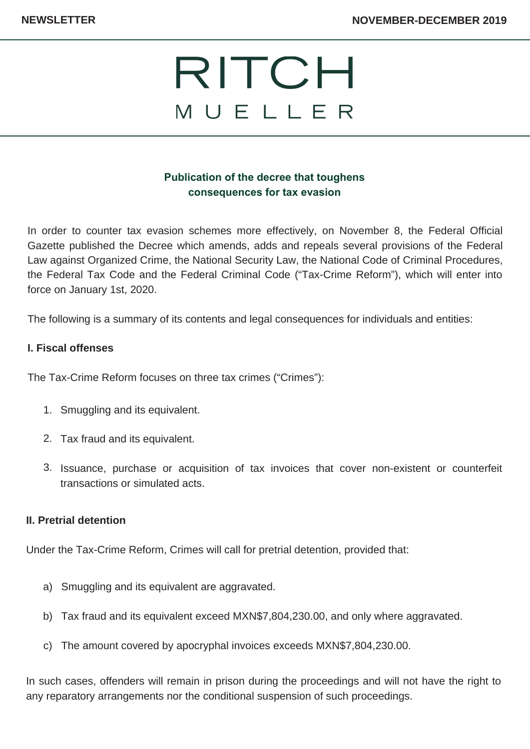

# **Publication of the decree that toughens consequences for tax evasion**

In order to counter tax evasion schemes more effectively, on November 8, the Federal Official Gazette published the Decree which amends, adds and repeals several provisions of the Federal Law against Organized Crime, the National Security Law, the National Code of Criminal Procedures, the Federal Tax Code and the Federal Criminal Code ("Tax-Crime Reform"), which will enter into force on January 1st, 2020.

The following is a summary of its contents and legal consequences for individuals and entities:

## **I. Fiscal offenses**

The Tax-Crime Reform focuses on three tax crimes ("Crimes"):

- 1. Smuggling and its equivalent.
- 2. Tax fraud and its equivalent.
- 3. Issuance, purchase or acquisition of tax invoices that cover non-existent or counterfeit transactions or simulated acts.

#### **II. Pretrial detention**

Under the Tax-Crime Reform, Crimes will call for pretrial detention, provided that:

- a) Smuggling and its equivalent are aggravated.
- Tax fraud and its equivalent exceed MXN\$7,804,230.00, and only where aggravated. b)
- The amount covered by apocryphal invoices exceeds MXN\$7,804,230.00. c)

In such cases, offenders will remain in prison during the proceedings and will not have the right to any reparatory arrangements nor the conditional suspension of such proceedings.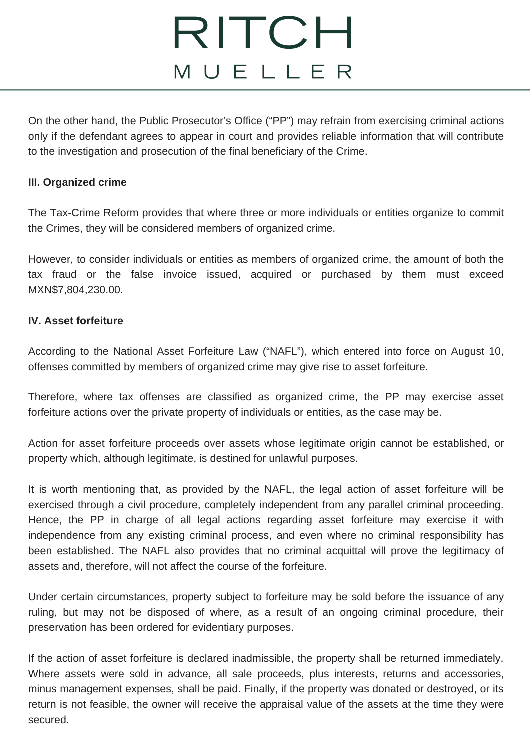# RITCH MUELLER

On the other hand, the Public Prosecutor's Office ("PP") may refrain from exercising criminal actions only if the defendant agrees to appear in court and provides reliable information that will contribute to the investigation and prosecution of the final beneficiary of the Crime.

### **III. Organized crime**

The Tax-Crime Reform provides that where three or more individuals or entities organize to commit the Crimes, they will be considered members of organized crime.

However, to consider individuals or entities as members of organized crime, the amount of both the tax fraud or the false invoice issued, acquired or purchased by them must exceed MXN\$7,804,230.00.

#### **IV. Asset forfeiture**

According to the National Asset Forfeiture Law ("NAFL"), which entered into force on August 10, offenses committed by members of organized crime may give rise to asset forfeiture.

Therefore, where tax offenses are classified as organized crime, the PP may exercise asset forfeiture actions over the private property of individuals or entities, as the case may be.

Action for asset forfeiture proceeds over assets whose legitimate origin cannot be established, or property which, although legitimate, is destined for unlawful purposes.

It is worth mentioning that, as provided by the NAFL, the legal action of asset forfeiture will be exercised through a civil procedure, completely independent from any parallel criminal proceeding. Hence, the PP in charge of all legal actions regarding asset forfeiture may exercise it with independence from any existing criminal process, and even where no criminal responsibility has been established. The NAFL also provides that no criminal acquittal will prove the legitimacy of assets and, therefore, will not affect the course of the forfeiture.

Under certain circumstances, property subject to forfeiture may be sold before the issuance of any ruling, but may not be disposed of where, as a result of an ongoing criminal procedure, their preservation has been ordered for evidentiary purposes.

If the action of asset forfeiture is declared inadmissible, the property shall be returned immediately. Where assets were sold in advance, all sale proceeds, plus interests, returns and accessories, minus management expenses, shall be paid. Finally, if the property was donated or destroyed, or its return is not feasible, the owner will receive the appraisal value of the assets at the time they were secured.